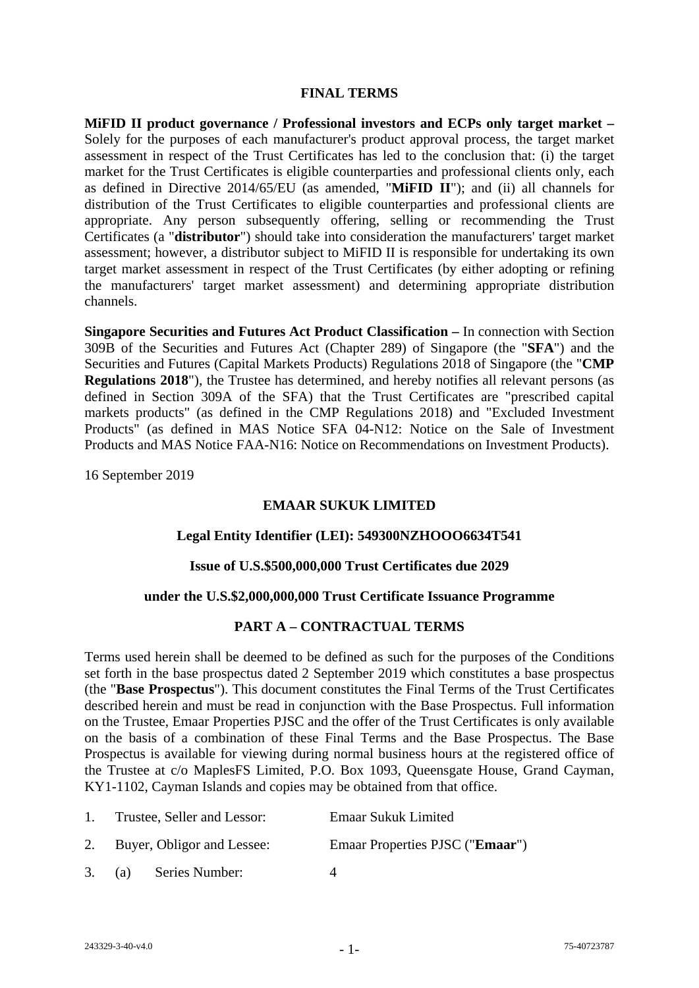### **FINAL TERMS**

**MiFID II product governance / Professional investors and ECPs only target market –** Solely for the purposes of each manufacturer's product approval process, the target market assessment in respect of the Trust Certificates has led to the conclusion that: (i) the target market for the Trust Certificates is eligible counterparties and professional clients only, each as defined in Directive 2014/65/EU (as amended, "**MiFID II**"); and (ii) all channels for distribution of the Trust Certificates to eligible counterparties and professional clients are appropriate. Any person subsequently offering, selling or recommending the Trust Certificates (a "**distributor**") should take into consideration the manufacturers' target market assessment; however, a distributor subject to MiFID II is responsible for undertaking its own target market assessment in respect of the Trust Certificates (by either adopting or refining the manufacturers' target market assessment) and determining appropriate distribution channels.

**Singapore Securities and Futures Act Product Classification –** In connection with Section 309B of the Securities and Futures Act (Chapter 289) of Singapore (the "**SFA**") and the Securities and Futures (Capital Markets Products) Regulations 2018 of Singapore (the "**CMP Regulations 2018**"), the Trustee has determined, and hereby notifies all relevant persons (as defined in Section 309A of the SFA) that the Trust Certificates are "prescribed capital markets products" (as defined in the CMP Regulations 2018) and "Excluded Investment Products" (as defined in MAS Notice SFA 04-N12: Notice on the Sale of Investment Products and MAS Notice FAA-N16: Notice on Recommendations on Investment Products).

16 September 2019

# **EMAAR SUKUK LIMITED**

### **Legal Entity Identifier (LEI): 549300NZHOOO6634T541**

### **Issue of U.S.\$500,000,000 Trust Certificates due 2029**

### **under the U.S.\$2,000,000,000 Trust Certificate Issuance Programme**

# **PART A – CONTRACTUAL TERMS**

Terms used herein shall be deemed to be defined as such for the purposes of the Conditions set forth in the base prospectus dated 2 September 2019 which constitutes a base prospectus (the "**Base Prospectus**"). This document constitutes the Final Terms of the Trust Certificates described herein and must be read in conjunction with the Base Prospectus. Full information on the Trustee, Emaar Properties PJSC and the offer of the Trust Certificates is only available on the basis of a combination of these Final Terms and the Base Prospectus. The Base Prospectus is available for viewing during normal business hours at the registered office of the Trustee at c/o MaplesFS Limited, P.O. Box 1093, Queensgate House, Grand Cayman, KY1-1102, Cayman Islands and copies may be obtained from that office.

| 1. Trustee, Seller and Lessor: |                       | <b>Emaar Sukuk Limited</b>               |  |
|--------------------------------|-----------------------|------------------------------------------|--|
| 2. Buyer, Obligor and Lessee:  |                       | Emaar Properties PJSC (" <b>Emaar</b> ") |  |
|                                | 3. (a) Series Number: |                                          |  |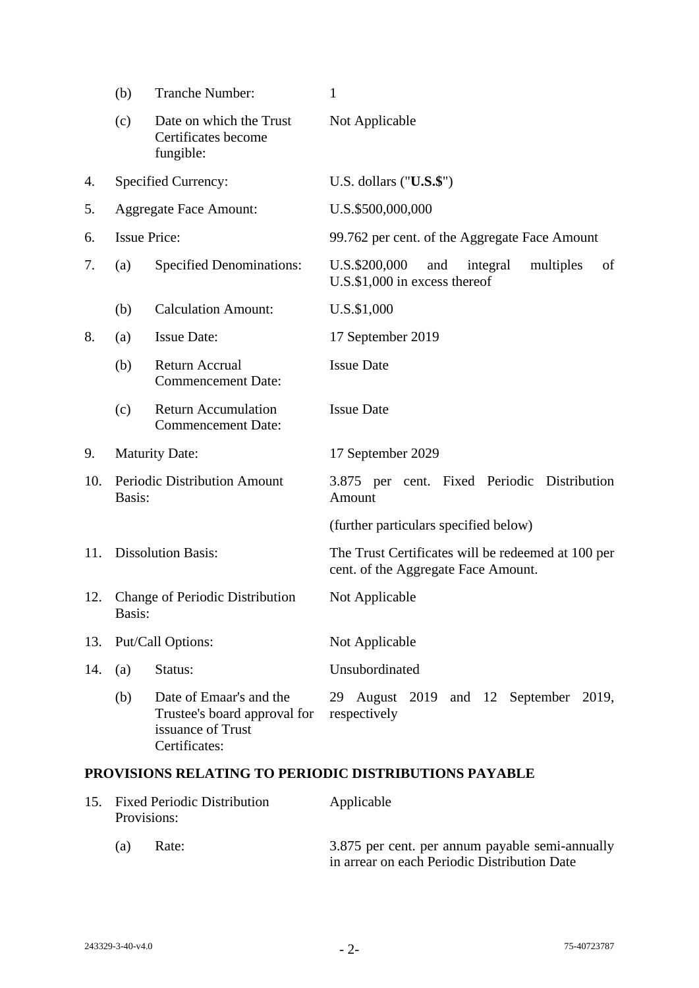|     | (b)    | Tranche Number:                                                                               | 1                                                                                         |
|-----|--------|-----------------------------------------------------------------------------------------------|-------------------------------------------------------------------------------------------|
|     | (c)    | Date on which the Trust<br>Certificates become<br>fungible:                                   | Not Applicable                                                                            |
| 4.  |        | Specified Currency:                                                                           | U.S. dollars $("U.S.\$                                                                    |
| 5.  |        | <b>Aggregate Face Amount:</b>                                                                 | U.S.\$500,000,000                                                                         |
| 6.  |        | <b>Issue Price:</b>                                                                           | 99.762 per cent. of the Aggregate Face Amount                                             |
| 7.  | (a)    | <b>Specified Denominations:</b>                                                               | U.S.\$200,000<br>integral<br>and<br>multiples<br>of<br>$U.S.$ \$1,000 in excess thereof   |
|     | (b)    | <b>Calculation Amount:</b>                                                                    | U.S.\$1,000                                                                               |
| 8.  | (a)    | <b>Issue Date:</b>                                                                            | 17 September 2019                                                                         |
|     | (b)    | Return Accrual<br><b>Commencement Date:</b>                                                   | <b>Issue Date</b>                                                                         |
|     | (c)    | <b>Return Accumulation</b><br><b>Commencement Date:</b>                                       | <b>Issue Date</b>                                                                         |
| 9.  |        | <b>Maturity Date:</b>                                                                         | 17 September 2029                                                                         |
| 10. | Basis: | Periodic Distribution Amount                                                                  | 3.875 per cent. Fixed Periodic Distribution<br>Amount                                     |
|     |        |                                                                                               | (further particulars specified below)                                                     |
| 11. |        | <b>Dissolution Basis:</b>                                                                     | The Trust Certificates will be redeemed at 100 per<br>cent. of the Aggregate Face Amount. |
| 12. | Basis: | <b>Change of Periodic Distribution</b>                                                        | Not Applicable                                                                            |
| 13. |        | Put/Call Options:                                                                             | Not Applicable                                                                            |
| 14. | (a)    | Status:                                                                                       | Unsubordinated                                                                            |
|     | (b)    | Date of Emaar's and the<br>Trustee's board approval for<br>issuance of Trust<br>Certificates: | 29 August 2019 and 12 September 2019,<br>respectively                                     |

# **PROVISIONS RELATING TO PERIODIC DISTRIBUTIONS PAYABLE**

|     | 15. Fixed Periodic Distribution<br>Provisions: | Applicable                                                                                      |
|-----|------------------------------------------------|-------------------------------------------------------------------------------------------------|
| (a) | Rate:                                          | 3.875 per cent. per annum payable semi-annually<br>in arrear on each Periodic Distribution Date |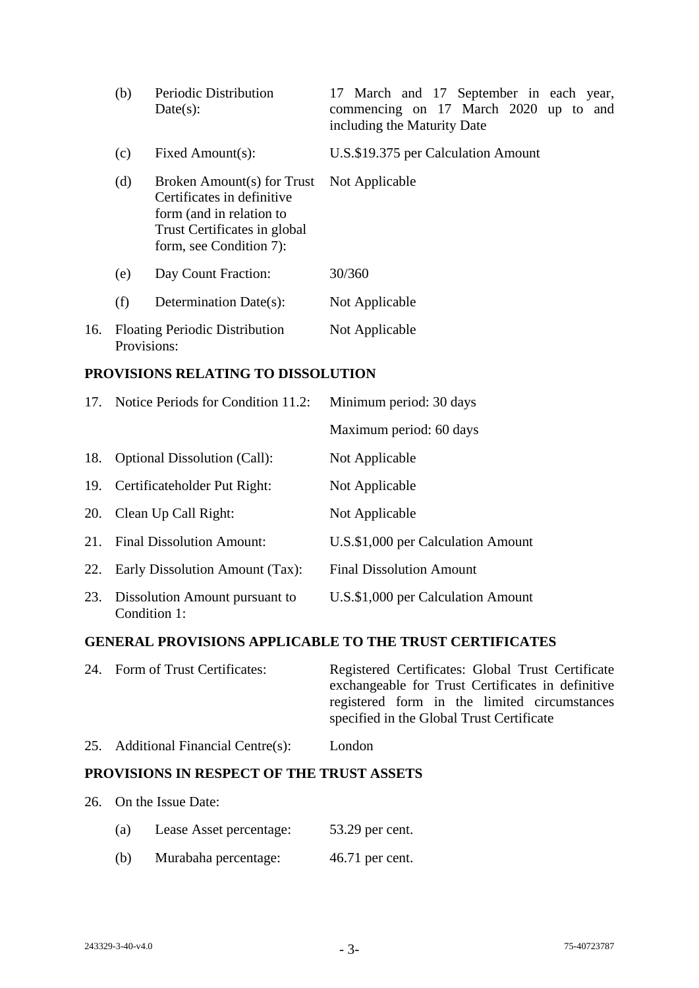|     | (b)         | Periodic Distribution<br>Date(s):                                                                                                               | 17 March and 17 September in each year,<br>commencing on 17 March 2020 up to and<br>including the Maturity Date |
|-----|-------------|-------------------------------------------------------------------------------------------------------------------------------------------------|-----------------------------------------------------------------------------------------------------------------|
|     | (c)         | Fixed Amount(s):                                                                                                                                | U.S.\$19.375 per Calculation Amount                                                                             |
|     | (d)         | Broken Amount(s) for Trust<br>Certificates in definitive<br>form (and in relation to<br>Trust Certificates in global<br>form, see Condition 7): | Not Applicable                                                                                                  |
|     | (e)         | Day Count Fraction:                                                                                                                             | 30/360                                                                                                          |
|     | (f)         | Determination Date(s):                                                                                                                          | Not Applicable                                                                                                  |
| 16. | Provisions: | <b>Floating Periodic Distribution</b>                                                                                                           | Not Applicable                                                                                                  |

### **PROVISIONS RELATING TO DISSOLUTION**

|     | 17. Notice Periods for Condition 11.2:         | Minimum period: 30 days            |
|-----|------------------------------------------------|------------------------------------|
|     |                                                | Maximum period: 60 days            |
| 18. | <b>Optional Dissolution (Call):</b>            | Not Applicable                     |
| 19. | Certificateholder Put Right:                   | Not Applicable                     |
| 20. | Clean Up Call Right:                           | Not Applicable                     |
| 21. | <b>Final Dissolution Amount:</b>               | U.S.\$1,000 per Calculation Amount |
| 22. | Early Dissolution Amount (Tax):                | <b>Final Dissolution Amount</b>    |
| 23. | Dissolution Amount pursuant to<br>Condition 1: | U.S.\$1,000 per Calculation Amount |

# **GENERAL PROVISIONS APPLICABLE TO THE TRUST CERTIFICATES**

| Registered Certificates: Global Trust Certificate |
|---------------------------------------------------|
| exchangeable for Trust Certificates in definitive |
| registered form in the limited circumstances      |
| specified in the Global Trust Certificate         |
| 24. Form of Trust Certificates:                   |

# 25. Additional Financial Centre(s): London

# **PROVISIONS IN RESPECT OF THE TRUST ASSETS**

- 26. On the Issue Date:
	- (a) Lease Asset percentage: 53.29 per cent.
	- (b) Murabaha percentage: 46.71 per cent.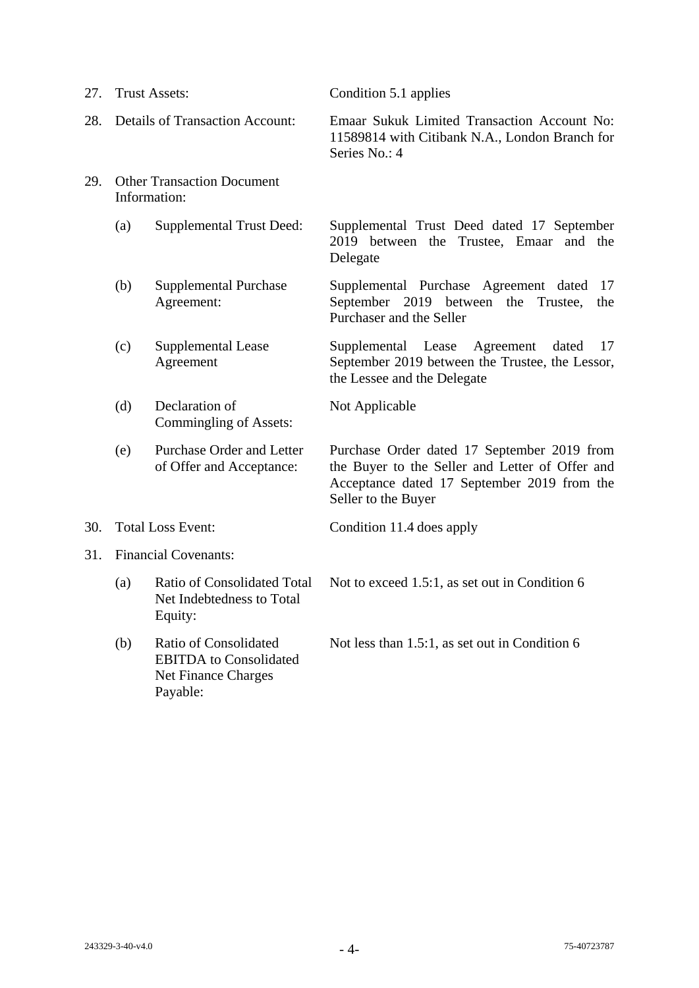| 27. |                                                   | <b>Trust Assets:</b>                                                                                    | Condition 5.1 applies                                                                                                                                                |
|-----|---------------------------------------------------|---------------------------------------------------------------------------------------------------------|----------------------------------------------------------------------------------------------------------------------------------------------------------------------|
| 28. |                                                   | <b>Details of Transaction Account:</b>                                                                  | Emaar Sukuk Limited Transaction Account No:<br>11589814 with Citibank N.A., London Branch for<br>Series No.: 4                                                       |
| 29. | <b>Other Transaction Document</b><br>Information: |                                                                                                         |                                                                                                                                                                      |
|     | (a)                                               | <b>Supplemental Trust Deed:</b>                                                                         | Supplemental Trust Deed dated 17 September<br>2019 between the Trustee, Emaar and the<br>Delegate                                                                    |
|     | (b)                                               | <b>Supplemental Purchase</b><br>Agreement:                                                              | Supplemental Purchase Agreement dated<br>17<br>September 2019 between the<br>Trustee,<br>the<br>Purchaser and the Seller                                             |
|     | (c)                                               | <b>Supplemental Lease</b><br>Agreement                                                                  | Supplemental Lease<br>Agreement<br>dated<br>17<br>September 2019 between the Trustee, the Lessor,<br>the Lessee and the Delegate                                     |
|     | (d)                                               | Declaration of<br>Commingling of Assets:                                                                | Not Applicable                                                                                                                                                       |
|     | (e)                                               | Purchase Order and Letter<br>of Offer and Acceptance:                                                   | Purchase Order dated 17 September 2019 from<br>the Buyer to the Seller and Letter of Offer and<br>Acceptance dated 17 September 2019 from the<br>Seller to the Buyer |
| 30. |                                                   | <b>Total Loss Event:</b>                                                                                | Condition 11.4 does apply                                                                                                                                            |
| 31. | <b>Financial Covenants:</b>                       |                                                                                                         |                                                                                                                                                                      |
|     | (a)                                               | <b>Ratio of Consolidated Total</b><br>Net Indebtedness to Total<br>Equity:                              | Not to exceed 1.5:1, as set out in Condition 6                                                                                                                       |
|     | (b)                                               | <b>Ratio of Consolidated</b><br><b>EBITDA</b> to Consolidated<br><b>Net Finance Charges</b><br>Payable: | Not less than 1.5:1, as set out in Condition 6                                                                                                                       |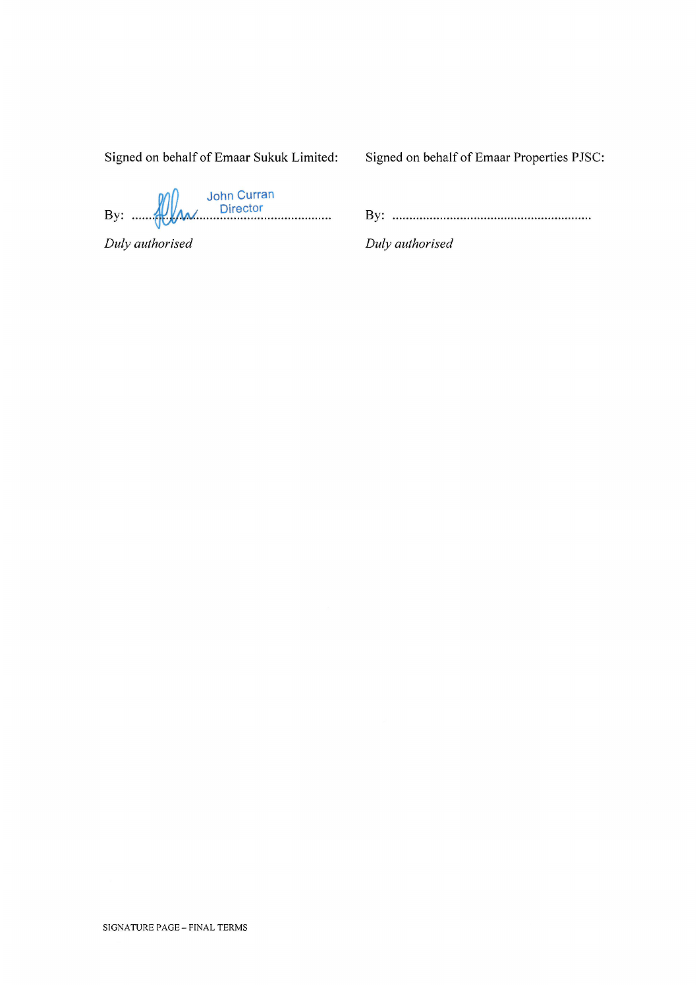Signed on behalf of Emaar Sukuk Limited:

Signed on behalf of Emaar Properties PJSC:

By: **We derive the Suite of Science of the Suite of Science of the Suite of Science of the Suite of Science of T** 

Duly authorised

Duly authorised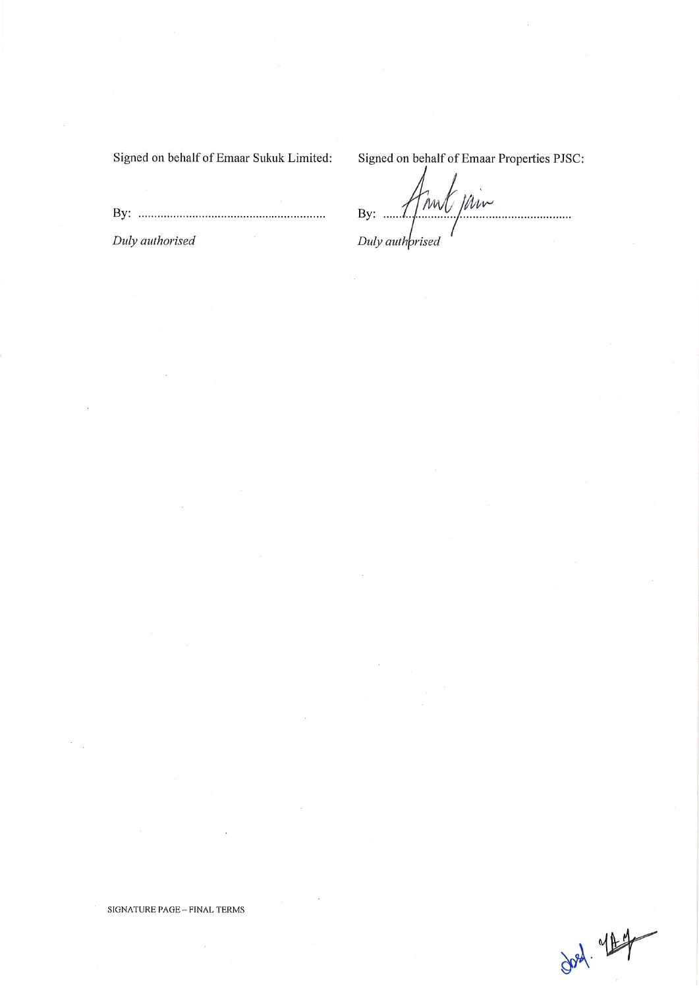Signed on behalf of Emaar Sukuk Limited:

Signed on behalf of Emaar Properties PJSC:

Duly authorised

mil jain By:  $... 7$ . . . . . . . . . . . . . . . Duly authprised

 $\frac{1}{\sqrt{3}}$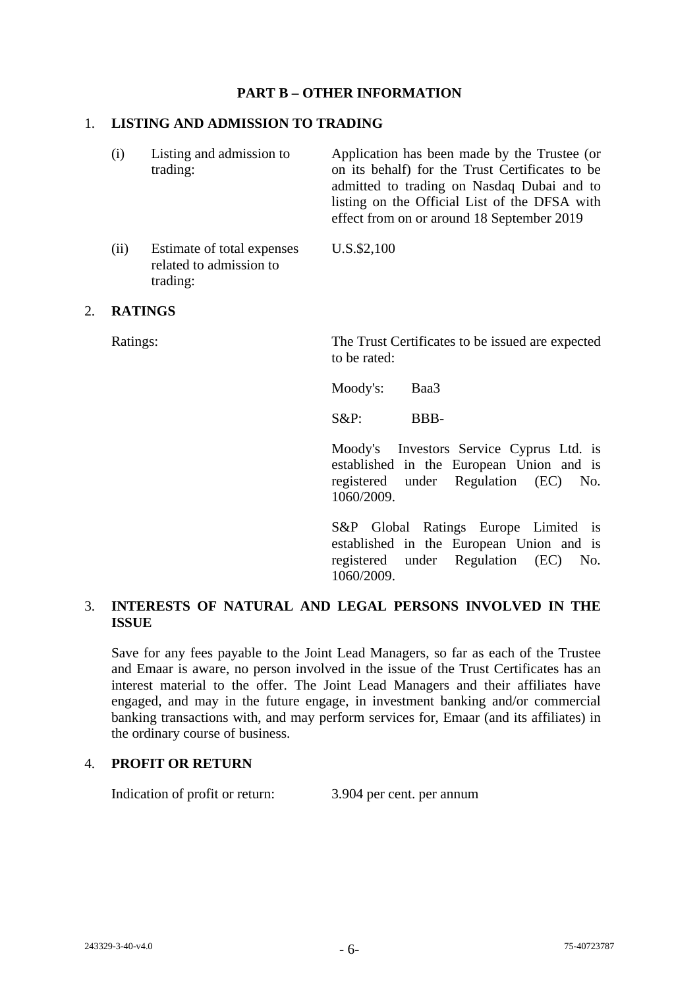## **PART B – OTHER INFORMATION**

### 1. **LISTING AND ADMISSION TO TRADING**

| (i) | Listing and admission to<br>trading: | Application has been made by the Trustee (or<br>on its behalf) for the Trust Certificates to be<br>admitted to trading on Nasdaq Dubai and to<br>listing on the Official List of the DFSA with |
|-----|--------------------------------------|------------------------------------------------------------------------------------------------------------------------------------------------------------------------------------------------|
|     |                                      | effect from on or around 18 September 2019                                                                                                                                                     |

(ii) Estimate of total expenses related to admission to trading: U.S.\$2,100

#### 2. **RATINGS**

Ratings: The Trust Certificates to be issued are expected to be rated:

Moody's: Baa3

S&P: BBB-

Moody's Investors Service Cyprus Ltd. is established in the European Union and is registered under Regulation (EC) No. 1060/2009.

S&P Global Ratings Europe Limited is established in the European Union and is registered under Regulation (EC) No. 1060/2009.

# 3. **INTERESTS OF NATURAL AND LEGAL PERSONS INVOLVED IN THE ISSUE**

Save for any fees payable to the Joint Lead Managers, so far as each of the Trustee and Emaar is aware, no person involved in the issue of the Trust Certificates has an interest material to the offer. The Joint Lead Managers and their affiliates have engaged, and may in the future engage, in investment banking and/or commercial banking transactions with, and may perform services for, Emaar (and its affiliates) in the ordinary course of business.

### 4. **PROFIT OR RETURN**

Indication of profit or return: 3.904 per cent. per annum